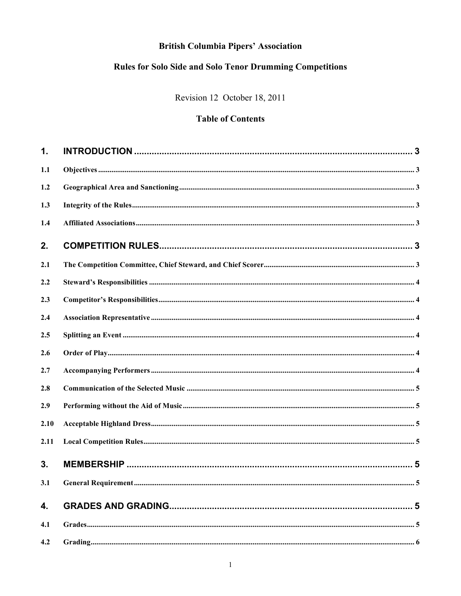# **British Columbia Pipers' Association**

# **Rules for Solo Side and Solo Tenor Drumming Competitions**

Revision 12 October 18, 2011

# **Table of Contents**

| $\mathbf{1}$ . |  |
|----------------|--|
| 1.1            |  |
| 1.2            |  |
| 1.3            |  |
| 1.4            |  |
| 2.             |  |
| 2.1            |  |
| 2.2            |  |
| 2.3            |  |
| 2.4            |  |
| 2.5            |  |
| 2.6            |  |
| 2.7            |  |
| 2.8            |  |
| 2.9            |  |
| 2.10           |  |
| 2.11           |  |
| 3.             |  |
| 3.1            |  |
| 4.             |  |
| 4.1            |  |
| 4.2            |  |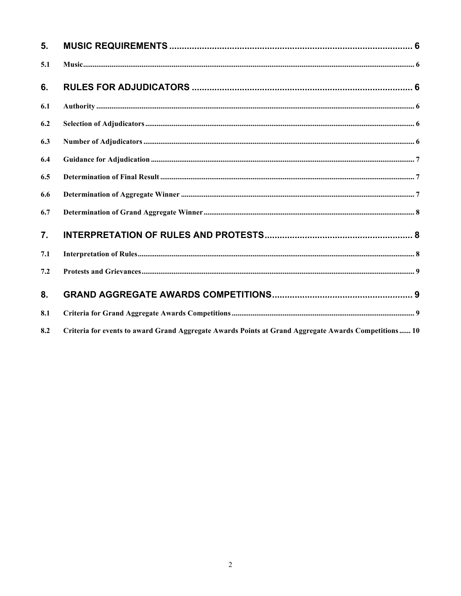| 5.  |                                                                                                      |  |
|-----|------------------------------------------------------------------------------------------------------|--|
| 5.1 |                                                                                                      |  |
| 6.  |                                                                                                      |  |
| 6.1 |                                                                                                      |  |
| 6.2 |                                                                                                      |  |
| 6.3 |                                                                                                      |  |
| 6.4 |                                                                                                      |  |
| 6.5 |                                                                                                      |  |
| 6.6 |                                                                                                      |  |
| 6.7 |                                                                                                      |  |
| 7.  |                                                                                                      |  |
| 7.1 |                                                                                                      |  |
| 7.2 |                                                                                                      |  |
| 8.  |                                                                                                      |  |
| 8.1 |                                                                                                      |  |
| 8.2 | Criteria for events to award Grand Aggregate Awards Points at Grand Aggregate Awards Competitions 10 |  |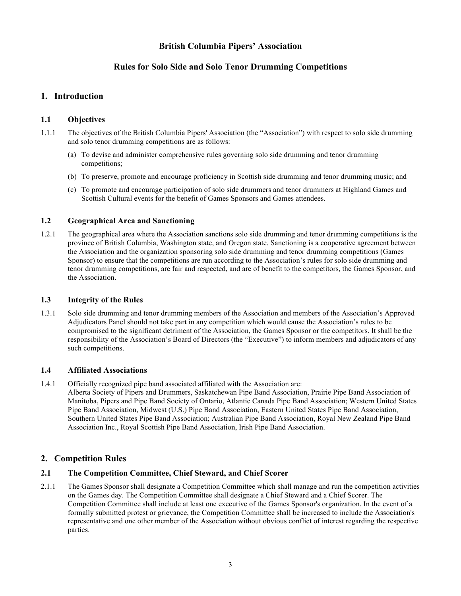## **British Columbia Pipers' Association**

## **Rules for Solo Side and Solo Tenor Drumming Competitions**

## **1. Introduction**

## **1.1 Objectives**

- 1.1.1 The objectives of the British Columbia Pipers' Association (the "Association") with respect to solo side drumming and solo tenor drumming competitions are as follows:
	- (a) To devise and administer comprehensive rules governing solo side drumming and tenor drumming competitions;
	- (b) To preserve, promote and encourage proficiency in Scottish side drumming and tenor drumming music; and
	- (c) To promote and encourage participation of solo side drummers and tenor drummers at Highland Games and Scottish Cultural events for the benefit of Games Sponsors and Games attendees.

## **1.2 Geographical Area and Sanctioning**

1.2.1 The geographical area where the Association sanctions solo side drumming and tenor drumming competitions is the province of British Columbia, Washington state, and Oregon state. Sanctioning is a cooperative agreement between the Association and the organization sponsoring solo side drumming and tenor drumming competitions (Games Sponsor) to ensure that the competitions are run according to the Association's rules for solo side drumming and tenor drumming competitions, are fair and respected, and are of benefit to the competitors, the Games Sponsor, and the Association.

## **1.3 Integrity of the Rules**

1.3.1 Solo side drumming and tenor drumming members of the Association and members of the Association's Approved Adjudicators Panel should not take part in any competition which would cause the Association's rules to be compromised to the significant detriment of the Association, the Games Sponsor or the competitors. It shall be the responsibility of the Association's Board of Directors (the "Executive") to inform members and adjudicators of any such competitions.

## **1.4 Affiliated Associations**

- 1.4.1 Officially recognized pipe band associated affiliated with the Association are:
	- Alberta Society of Pipers and Drummers, Saskatchewan Pipe Band Association, Prairie Pipe Band Association of Manitoba, Pipers and Pipe Band Society of Ontario, Atlantic Canada Pipe Band Association; Western United States Pipe Band Association, Midwest (U.S.) Pipe Band Association, Eastern United States Pipe Band Association, Southern United States Pipe Band Association; Australian Pipe Band Association, Royal New Zealand Pipe Band Association Inc., Royal Scottish Pipe Band Association, Irish Pipe Band Association.

## **2. Competition Rules**

## **2.1 The Competition Committee, Chief Steward, and Chief Scorer**

2.1.1 The Games Sponsor shall designate a Competition Committee which shall manage and run the competition activities on the Games day. The Competition Committee shall designate a Chief Steward and a Chief Scorer. The Competition Committee shall include at least one executive of the Games Sponsor's organization. In the event of a formally submitted protest or grievance, the Competition Committee shall be increased to include the Association's representative and one other member of the Association without obvious conflict of interest regarding the respective parties.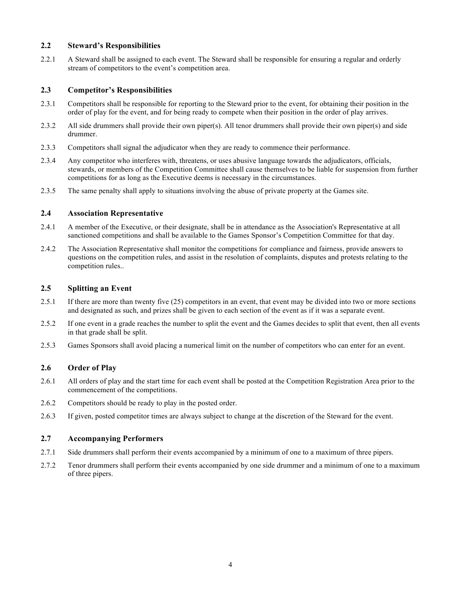#### **2.2 Steward's Responsibilities**

2.2.1 A Steward shall be assigned to each event. The Steward shall be responsible for ensuring a regular and orderly stream of competitors to the event's competition area.

#### **2.3 Competitor's Responsibilities**

- 2.3.1 Competitors shall be responsible for reporting to the Steward prior to the event, for obtaining their position in the order of play for the event, and for being ready to compete when their position in the order of play arrives.
- 2.3.2 All side drummers shall provide their own piper(s). All tenor drummers shall provide their own piper(s) and side drummer.
- 2.3.3 Competitors shall signal the adjudicator when they are ready to commence their performance.
- 2.3.4 Any competitor who interferes with, threatens, or uses abusive language towards the adjudicators, officials, stewards, or members of the Competition Committee shall cause themselves to be liable for suspension from further competitions for as long as the Executive deems is necessary in the circumstances.
- 2.3.5 The same penalty shall apply to situations involving the abuse of private property at the Games site.

#### **2.4 Association Representative**

- 2.4.1 A member of the Executive, or their designate, shall be in attendance as the Association's Representative at all sanctioned competitions and shall be available to the Games Sponsor's Competition Committee for that day.
- 2.4.2 The Association Representative shall monitor the competitions for compliance and fairness, provide answers to questions on the competition rules, and assist in the resolution of complaints, disputes and protests relating to the competition rules..

#### **2.5 Splitting an Event**

- 2.5.1 If there are more than twenty five (25) competitors in an event, that event may be divided into two or more sections and designated as such, and prizes shall be given to each section of the event as if it was a separate event.
- 2.5.2 If one event in a grade reaches the number to split the event and the Games decides to split that event, then all events in that grade shall be split.
- 2.5.3 Games Sponsors shall avoid placing a numerical limit on the number of competitors who can enter for an event.

## **2.6 Order of Play**

- 2.6.1 All orders of play and the start time for each event shall be posted at the Competition Registration Area prior to the commencement of the competitions.
- 2.6.2 Competitors should be ready to play in the posted order.
- 2.6.3 If given, posted competitor times are always subject to change at the discretion of the Steward for the event.

#### **2.7 Accompanying Performers**

- 2.7.1 Side drummers shall perform their events accompanied by a minimum of one to a maximum of three pipers.
- 2.7.2 Tenor drummers shall perform their events accompanied by one side drummer and a minimum of one to a maximum of three pipers.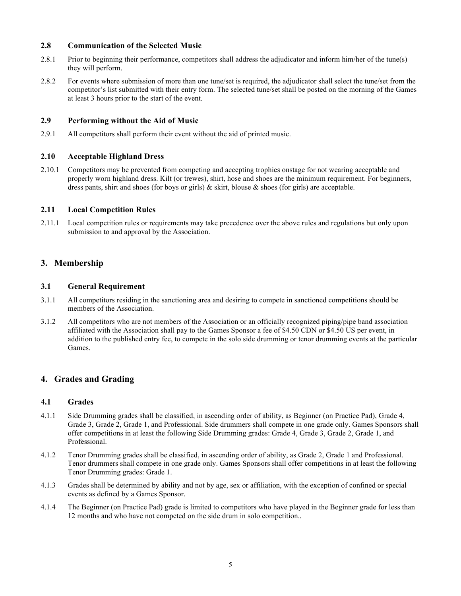#### **2.8 Communication of the Selected Music**

- 2.8.1 Prior to beginning their performance, competitors shall address the adjudicator and inform him/her of the tune(s) they will perform.
- 2.8.2 For events where submission of more than one tune/set is required, the adjudicator shall select the tune/set from the competitor's list submitted with their entry form. The selected tune/set shall be posted on the morning of the Games at least 3 hours prior to the start of the event.

#### **2.9 Performing without the Aid of Music**

2.9.1 All competitors shall perform their event without the aid of printed music.

#### **2.10 Acceptable Highland Dress**

2.10.1 Competitors may be prevented from competing and accepting trophies onstage for not wearing acceptable and properly worn highland dress. Kilt (or trewes), shirt, hose and shoes are the minimum requirement. For beginners, dress pants, shirt and shoes (for boys or girls)  $\&$  skirt, blouse  $\&$  shoes (for girls) are acceptable.

#### **2.11 Local Competition Rules**

2.11.1 Local competition rules or requirements may take precedence over the above rules and regulations but only upon submission to and approval by the Association.

## **3. Membership**

#### **3.1 General Requirement**

- 3.1.1 All competitors residing in the sanctioning area and desiring to compete in sanctioned competitions should be members of the Association.
- 3.1.2 All competitors who are not members of the Association or an officially recognized piping/pipe band association affiliated with the Association shall pay to the Games Sponsor a fee of \$4.50 CDN or \$4.50 US per event, in addition to the published entry fee, to compete in the solo side drumming or tenor drumming events at the particular Games.

## **4. Grades and Grading**

#### **4.1 Grades**

- 4.1.1 Side Drumming grades shall be classified, in ascending order of ability, as Beginner (on Practice Pad), Grade 4, Grade 3, Grade 2, Grade 1, and Professional. Side drummers shall compete in one grade only. Games Sponsors shall offer competitions in at least the following Side Drumming grades: Grade 4, Grade 3, Grade 2, Grade 1, and Professional.
- 4.1.2 Tenor Drumming grades shall be classified, in ascending order of ability, as Grade 2, Grade 1 and Professional. Tenor drummers shall compete in one grade only. Games Sponsors shall offer competitions in at least the following Tenor Drumming grades: Grade 1.
- 4.1.3 Grades shall be determined by ability and not by age, sex or affiliation, with the exception of confined or special events as defined by a Games Sponsor.
- 4.1.4 The Beginner (on Practice Pad) grade is limited to competitors who have played in the Beginner grade for less than 12 months and who have not competed on the side drum in solo competition..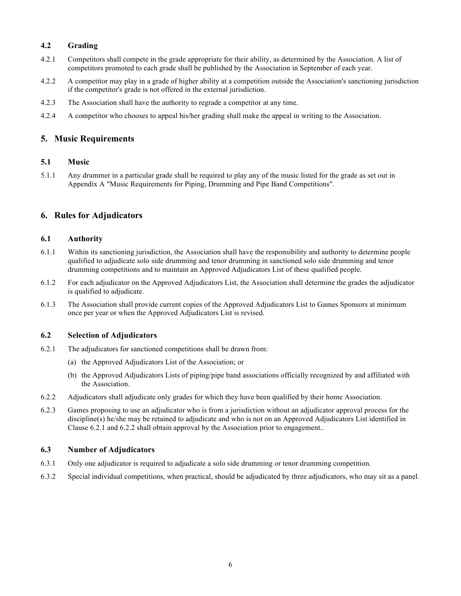## **4.2 Grading**

- 4.2.1 Competitors shall compete in the grade appropriate for their ability, as determined by the Association. A list of competitors promoted to each grade shall be published by the Association in September of each year.
- 4.2.2 A competitor may play in a grade of higher ability at a competition outside the Association's sanctioning jurisdiction if the competitor's grade is not offered in the external jurisdiction.
- 4.2.3 The Association shall have the authority to regrade a competitor at any time.
- 4.2.4 A competitor who chooses to appeal his/her grading shall make the appeal in writing to the Association.

## **5. Music Requirements**

#### **5.1 Music**

5.1.1 Any drummer in a particular grade shall be required to play any of the music listed for the grade as set out in Appendix A "Music Requirements for Piping, Drumming and Pipe Band Competitions".

## **6. Rules for Adjudicators**

#### **6.1 Authority**

- 6.1.1 Within its sanctioning jurisdiction, the Association shall have the responsibility and authority to determine people qualified to adjudicate solo side drumming and tenor drumming in sanctioned solo side drumming and tenor drumming competitions and to maintain an Approved Adjudicators List of these qualified people.
- 6.1.2 For each adjudicator on the Approved Adjudicators List, the Association shall determine the grades the adjudicator is qualified to adjudicate.
- 6.1.3 The Association shall provide current copies of the Approved Adjudicators List to Games Sponsors at minimum once per year or when the Approved Adjudicators List is revised.

#### **6.2 Selection of Adjudicators**

- 6.2.1 The adjudicators for sanctioned competitions shall be drawn from:
	- (a) the Approved Adjudicators List of the Association; or
	- (b) the Approved Adjudicators Lists of piping/pipe band associations officially recognized by and affiliated with the Association.
- 6.2.2 Adjudicators shall adjudicate only grades for which they have been qualified by their home Association.
- 6.2.3 Games proposing to use an adjudicator who is from a jurisdiction without an adjudicator approval process for the discipline(s) he/she may be retained to adjudicate and who is not on an Approved Adjudicators List identified in Clause 6.2.1 and 6.2.2 shall obtain approval by the Association prior to engagement..

#### **6.3 Number of Adjudicators**

- 6.3.1 Only one adjudicator is required to adjudicate a solo side drumming or tenor drumming competition.
- 6.3.2 Special individual competitions, when practical, should be adjudicated by three adjudicators, who may sit as a panel.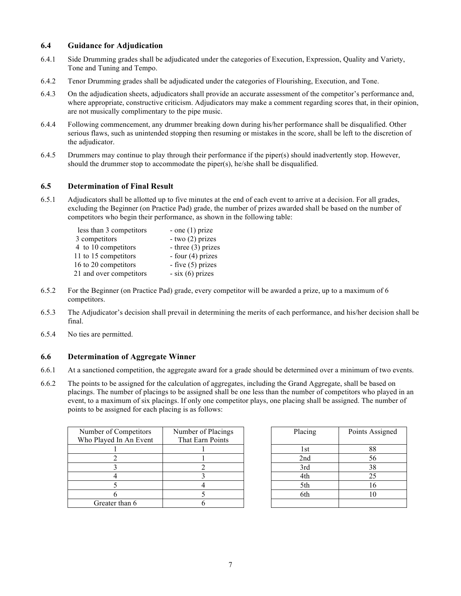## **6.4 Guidance for Adjudication**

- 6.4.1 Side Drumming grades shall be adjudicated under the categories of Execution, Expression, Quality and Variety, Tone and Tuning and Tempo.
- 6.4.2 Tenor Drumming grades shall be adjudicated under the categories of Flourishing, Execution, and Tone.
- 6.4.3 On the adjudication sheets, adjudicators shall provide an accurate assessment of the competitor's performance and, where appropriate, constructive criticism. Adjudicators may make a comment regarding scores that, in their opinion, are not musically complimentary to the pipe music.
- 6.4.4 Following commencement, any drummer breaking down during his/her performance shall be disqualified. Other serious flaws, such as unintended stopping then resuming or mistakes in the score, shall be left to the discretion of the adjudicator.
- 6.4.5 Drummers may continue to play through their performance if the piper(s) should inadvertently stop. However, should the drummer stop to accommodate the piper(s), he/she shall be disqualified.

#### **6.5 Determination of Final Result**

6.5.1 Adjudicators shall be allotted up to five minutes at the end of each event to arrive at a decision. For all grades, excluding the Beginner (on Practice Pad) grade, the number of prizes awarded shall be based on the number of competitors who begin their performance, as shown in the following table:

| less than 3 competitors | - one $(1)$ prize    |
|-------------------------|----------------------|
| 3 competitors           | $-$ two $(2)$ prizes |
| 4 to 10 competitors     | - three $(3)$ prizes |
| 11 to 15 competitors    | - four $(4)$ prizes  |
| 16 to 20 competitors    | - five $(5)$ prizes  |
| 21 and over competitors | $-$ six (6) prizes   |

- 6.5.2 For the Beginner (on Practice Pad) grade, every competitor will be awarded a prize, up to a maximum of 6 competitors.
- 6.5.3 The Adjudicator's decision shall prevail in determining the merits of each performance, and his/her decision shall be final.
- 6.5.4 No ties are permitted.

#### **6.6 Determination of Aggregate Winner**

- 6.6.1 At a sanctioned competition, the aggregate award for a grade should be determined over a minimum of two events.
- 6.6.2 The points to be assigned for the calculation of aggregates, including the Grand Aggregate, shall be based on placings. The number of placings to be assigned shall be one less than the number of competitors who played in an event, to a maximum of six placings. If only one competitor plays, one placing shall be assigned. The number of points to be assigned for each placing is as follows:

| Number of Competitors<br>Who Played In An Event | Number of Placings<br>That Earn Points | Placing | Points As |
|-------------------------------------------------|----------------------------------------|---------|-----------|
|                                                 |                                        | l st    | 88        |
|                                                 |                                        | 2nd     | 56        |
|                                                 |                                        | 3rd     | 38        |
|                                                 |                                        | 4th     | 25        |
|                                                 |                                        | 5th     | 16        |
|                                                 |                                        | 6th     | 10        |
| Greater than 6                                  |                                        |         |           |
|                                                 |                                        |         |           |

| Placing | Points Assigned |
|---------|-----------------|
|         |                 |
| 1st     | 88              |
| 2nd     | 56              |
| 3rd     | 38              |
| 4th     | 25              |
| 5th     | 16              |
| 6th     | 10              |
|         |                 |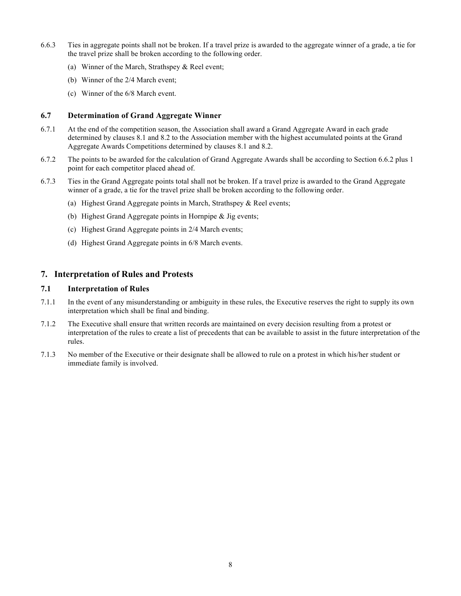- 6.6.3 Ties in aggregate points shall not be broken. If a travel prize is awarded to the aggregate winner of a grade, a tie for the travel prize shall be broken according to the following order.
	- (a) Winner of the March, Strathspey & Reel event;
	- (b) Winner of the 2/4 March event;
	- (c) Winner of the 6/8 March event.

#### **6.7 Determination of Grand Aggregate Winner**

- 6.7.1 At the end of the competition season, the Association shall award a Grand Aggregate Award in each grade determined by clauses 8.1 and 8.2 to the Association member with the highest accumulated points at the Grand Aggregate Awards Competitions determined by clauses 8.1 and 8.2.
- 6.7.2 The points to be awarded for the calculation of Grand Aggregate Awards shall be according to Section 6.6.2 plus 1 point for each competitor placed ahead of.
- 6.7.3 Ties in the Grand Aggregate points total shall not be broken. If a travel prize is awarded to the Grand Aggregate winner of a grade, a tie for the travel prize shall be broken according to the following order.
	- (a) Highest Grand Aggregate points in March, Strathspey & Reel events;
	- (b) Highest Grand Aggregate points in Hornpipe & Jig events;
	- (c) Highest Grand Aggregate points in 2/4 March events;
	- (d) Highest Grand Aggregate points in 6/8 March events.

## **7. Interpretation of Rules and Protests**

#### **7.1 Interpretation of Rules**

- 7.1.1 In the event of any misunderstanding or ambiguity in these rules, the Executive reserves the right to supply its own interpretation which shall be final and binding.
- 7.1.2 The Executive shall ensure that written records are maintained on every decision resulting from a protest or interpretation of the rules to create a list of precedents that can be available to assist in the future interpretation of the rules.
- 7.1.3 No member of the Executive or their designate shall be allowed to rule on a protest in which his/her student or immediate family is involved.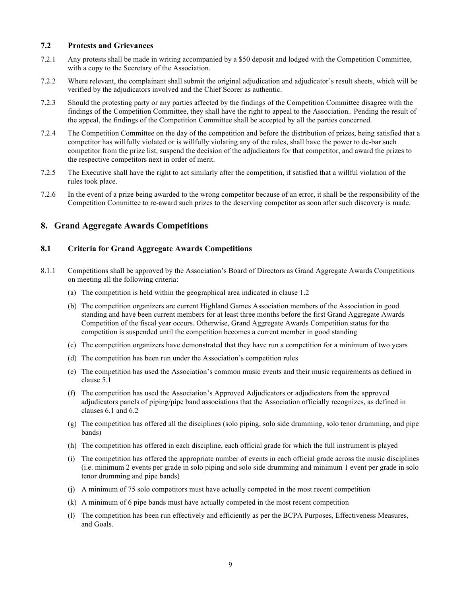#### **7.2 Protests and Grievances**

- 7.2.1 Any protests shall be made in writing accompanied by a \$50 deposit and lodged with the Competition Committee, with a copy to the Secretary of the Association.
- 7.2.2 Where relevant, the complainant shall submit the original adjudication and adjudicator's result sheets, which will be verified by the adjudicators involved and the Chief Scorer as authentic.
- 7.2.3 Should the protesting party or any parties affected by the findings of the Competition Committee disagree with the findings of the Competition Committee, they shall have the right to appeal to the Association.. Pending the result of the appeal, the findings of the Competition Committee shall be accepted by all the parties concerned.
- 7.2.4 The Competition Committee on the day of the competition and before the distribution of prizes, being satisfied that a competitor has willfully violated or is willfully violating any of the rules, shall have the power to de-bar such competitor from the prize list, suspend the decision of the adjudicators for that competitor, and award the prizes to the respective competitors next in order of merit.
- 7.2.5 The Executive shall have the right to act similarly after the competition, if satisfied that a willful violation of the rules took place.
- 7.2.6 In the event of a prize being awarded to the wrong competitor because of an error, it shall be the responsibility of the Competition Committee to re-award such prizes to the deserving competitor as soon after such discovery is made.

## **8. Grand Aggregate Awards Competitions**

## **8.1 Criteria for Grand Aggregate Awards Competitions**

- 8.1.1 Competitions shall be approved by the Association's Board of Directors as Grand Aggregate Awards Competitions on meeting all the following criteria:
	- (a) The competition is held within the geographical area indicated in clause 1.2
	- (b) The competition organizers are current Highland Games Association members of the Association in good standing and have been current members for at least three months before the first Grand Aggregate Awards Competition of the fiscal year occurs. Otherwise, Grand Aggregate Awards Competition status for the competition is suspended until the competition becomes a current member in good standing
	- (c) The competition organizers have demonstrated that they have run a competition for a minimum of two years
	- (d) The competition has been run under the Association's competition rules
	- (e) The competition has used the Association's common music events and their music requirements as defined in clause 5.1
	- (f) The competition has used the Association's Approved Adjudicators or adjudicators from the approved adjudicators panels of piping/pipe band associations that the Association officially recognizes, as defined in clauses 6.1 and 6.2
	- (g) The competition has offered all the disciplines (solo piping, solo side drumming, solo tenor drumming, and pipe bands)
	- (h) The competition has offered in each discipline, each official grade for which the full instrument is played
	- (i) The competition has offered the appropriate number of events in each official grade across the music disciplines (i.e. minimum 2 events per grade in solo piping and solo side drumming and minimum 1 event per grade in solo tenor drumming and pipe bands)
	- (j) A minimum of 75 solo competitors must have actually competed in the most recent competition
	- (k) A minimum of 6 pipe bands must have actually competed in the most recent competition
	- (l) The competition has been run effectively and efficiently as per the BCPA Purposes, Effectiveness Measures, and Goals.